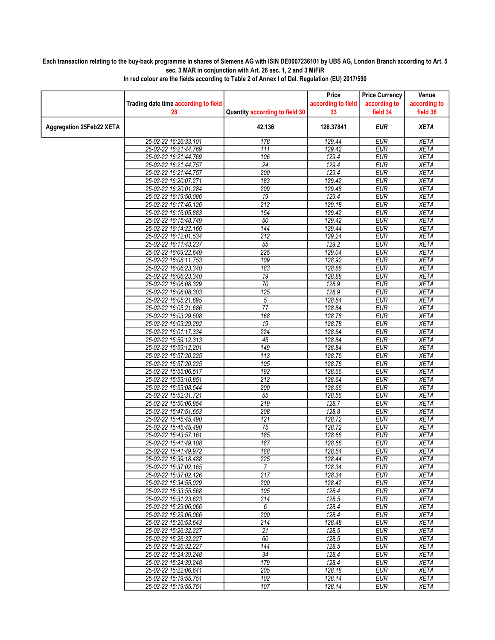## Each transaction relating to the buy-back programme in shares of Siemens AG with ISIN DE0007236101 by UBS AG, London Branch according to Art. 5 sec. 3 MAR in conjunction with Art. 26 sec. 1, 2 and 3 MiFiR

|                          |                                                |                                | Price              | <b>Price Currency</b>    | Venue                      |
|--------------------------|------------------------------------------------|--------------------------------|--------------------|--------------------------|----------------------------|
|                          | Trading date time according to field           |                                | according to field | according to             | according to               |
|                          | 28                                             | Quantity according to field 30 | 33                 | field 34                 | field 36                   |
| Aggregation 25Feb22 XETA |                                                | 42,136                         | 126.37841          | <b>EUR</b>               | <b>XETA</b>                |
|                          | 25-02-22 16:26:33.101                          | 178                            | 129.44             | <b>EUR</b>               | <b>XETA</b>                |
|                          | 25-02-22 16:21:44.769                          | $\overline{111}$               | 129.42             | <b>EUR</b>               | <b>XETA</b>                |
|                          | 25-02-22 16:21:44.769                          | 106                            | 129.4              | <b>EUR</b>               | <b>XETA</b>                |
|                          | 25-02-22 16:21:44.757                          | $\overline{24}$                | 129.4              | <b>EUR</b>               | <b>XETA</b>                |
|                          | 25-02-22 16:21:44.757                          | 200                            | 129.4              | <b>EUR</b>               | <b>XETA</b>                |
|                          | 25-02-22 16:20:07.271                          | 183                            | 129.42             | <b>EUR</b>               | <b>XETA</b>                |
|                          | 25-02-22 16:20:01.284                          | 209                            | 129.48             | <b>EUR</b>               | <b>XETA</b>                |
|                          | 25-02-22 16:19:50.086                          | $\overline{19}$                | 129.4              | <b>EUR</b>               | <b>XETA</b>                |
|                          | 25-02-22 16:17:46.126                          | $\overline{212}$               | 129.18             | <b>EUR</b>               | <b>XETA</b>                |
|                          | 25-02-22 16:16:05.883                          | 154                            | 129.42             | <b>EUR</b>               | <b>XETA</b>                |
|                          | 25-02-22 16:15:48.749                          | 50                             | 129.42             | <b>EUR</b>               | <b>XETA</b>                |
|                          | 25-02-22 16:14:22.166                          | 144                            | 129.44             | <b>EUR</b>               | <b>XETA</b>                |
|                          | 25-02-22 16:12:01.534                          | $\overline{212}$               | 129.24             | <b>EUR</b>               | <b>XETA</b>                |
|                          | 25-02-22 16:11:43.237                          | 55                             | 129.2              | <b>EUR</b>               | <b>XETA</b>                |
|                          | 25-02-22 16:09:22.649                          | $\overline{225}$               | 129.04             | <b>EUR</b>               | <b>XETA</b>                |
|                          | 25-02-22 16:08:11.753                          | 109                            | 128.92             | <b>EUR</b>               | <b>XETA</b>                |
|                          | 25-02-22 16:06:23.340                          | 183                            | 128.88             | <b>EUR</b>               | <b>XETA</b>                |
|                          | 25-02-22 16:06:23.340                          | 19                             | 128.88             | <b>EUR</b>               | <b>XETA</b>                |
|                          | 25-02-22 16:06:08.329                          | 70                             | 128.9              | <b>EUR</b>               | <b>XETA</b>                |
|                          | 25-02-22 16:06:08.303                          | 125                            | 128.9              | EUR                      | <b>XETA</b>                |
|                          | 25-02-22 16:05:21.695                          | 5                              | 128.84             | <b>EUR</b>               | <b>XETA</b>                |
|                          | 25-02-22 16:05:21.686                          | $\overline{77}$                | 128.84             | <b>EUR</b>               | <b>XETA</b>                |
|                          | 25-02-22 16:03:29.508                          | 168                            | 128.78             | <b>EUR</b>               | <b>XETA</b>                |
|                          | 25-02-22 16:03:29.292                          | 19<br>224                      | 128.78             | <b>EUR</b><br><b>EUR</b> | <b>XETA</b><br><b>XETA</b> |
|                          | 25-02-22 16:01:17.334<br>25-02-22 15:59:12.313 | $\overline{45}$                | 128.64             |                          | <b>XETA</b>                |
|                          | 25-02-22 15:59:12.201                          | 149                            | 128.84<br>128.84   | <b>EUR</b><br><b>EUR</b> | <b>XETA</b>                |
|                          | 25-02-22 15:57:20.225                          | 113                            | 128.76             | <b>EUR</b>               | <b>XETA</b>                |
|                          | 25-02-22 15:57:20.225                          | 105                            | 128.76             | <b>EUR</b>               | <b>XETA</b>                |
|                          | 25-02-22 15:55:06.517                          | 192                            | 128.66             | <b>EUR</b>               | <b>XETA</b>                |
|                          | 25-02-22 15:53:10.851                          | $\overline{212}$               | 128.64             | <b>EUR</b>               | <b>XETA</b>                |
|                          | 25-02-22 15:53:08.544                          | 200                            | 128.66             | <b>EUR</b>               | <b>XETA</b>                |
|                          | 25-02-22 15:52:31.721                          | $\overline{55}$                | 128.56             | <b>EUR</b>               | <b>XETA</b>                |
|                          | 25-02-22 15:50:06.854                          | 219                            | 128.7              | <b>EUR</b>               | <b>XETA</b>                |
|                          | 25-02-22 15:47:51.653                          | 208                            | 128.8              | <b>EUR</b>               | <b>XETA</b>                |
|                          | 25-02-22 15:45:45.490                          | 121                            | 128.72             | <b>EUR</b>               | <b>XETA</b>                |
|                          | 25-02-22 15:45:45.490                          | 75                             | 128.72             | <b>EUR</b>               | <b>XETA</b>                |
|                          | 25-02-22 15:43:57.161                          | 185                            | 128.66             | <b>EUR</b>               | <b>XETA</b>                |
|                          | 25-02-22 15:41:49.108                          | 187                            | 128.66             | <b>EUR</b>               | <b>XETA</b>                |
|                          | 25-02-22 15:41:49.972                          | 188                            | 128.64             | <b>EUR</b>               | <b>XETA</b>                |
|                          | 25-02-22 15:39:18.488                          | 225                            | 128.44             | EUR                      | XETA                       |
|                          | 25-02-22 15:37:02.165                          | $\overline{7}$                 | 128.34             | <b>EUR</b>               | <b>XETA</b>                |
|                          | 25-02-22 15:37:02.126                          | 217                            | 128.34             | <b>EUR</b>               | <b>XETA</b>                |
|                          | 25-02-22 15:34:55.029                          | 200                            | 128.42             | <b>EUR</b>               | <b>XETA</b>                |
|                          | 25-02-22 15:33:55.568                          | 105                            | 128.4              | <b>EUR</b>               | <b>XETA</b>                |
|                          | 25-02-22 15:31:23.623                          | 214                            | 128.5              | <b>EUR</b>               | <b>XETA</b>                |
|                          | 25-02-22 15:29:06.066                          | 6                              | 128.4              | <b>EUR</b>               | <b>XETA</b>                |
|                          | 25-02-22 15:29:06.066                          | 200                            | 128.4              | <b>EUR</b>               | <b>XETA</b>                |
|                          | 25-02-22 15:26:53.643                          | 214                            | 128.48             | <b>EUR</b>               | <b>XETA</b>                |
|                          | 25-02-22 15:26:32.227                          | 21                             | 128.5              | <b>EUR</b>               | <b>XETA</b>                |
|                          | 25-02-22 15:26:32.227                          | 60                             | 128.5              | <b>EUR</b>               | <b>XETA</b>                |
|                          | 25-02-22 15:26:32.227                          | 144                            | 128.5              | <b>EUR</b>               | <b>XETA</b>                |
|                          | 25-02-22 15:24:39.248                          | $\overline{34}$                | 128.4              | <b>EUR</b>               | <b>XETA</b>                |
|                          | 25-02-22 15:24:39.248                          | 179                            | 128.4              | <b>EUR</b>               | XETA                       |
|                          | 25-02-22 15:22:06.641                          | 205                            | 128.18             | <b>EUR</b>               | <b>XETA</b>                |
|                          | 25-02-22 15:19:55.751                          | 102                            | 128.14             | <b>EUR</b>               | <b>XETA</b>                |
|                          | 25-02-22 15:19:55.751                          | 107                            | 128.14             | <b>EUR</b>               | <b>XETA</b>                |

In red colour are the fields according to Table 2 of Annex I of Del. Regulation (EU) 2017/590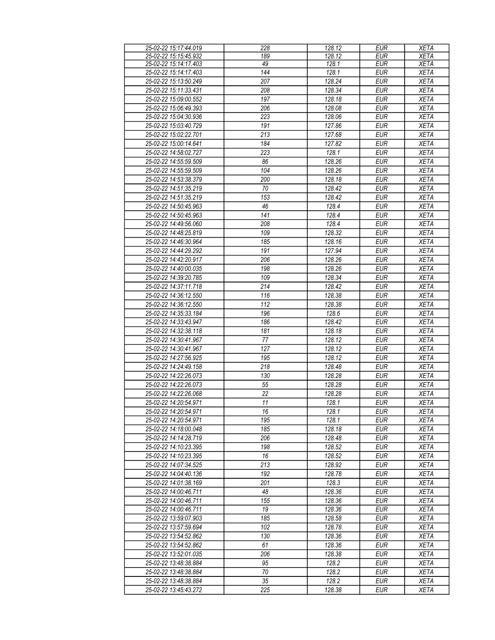| 25-02-22 15:17:44.019 | 228              | 128.12 | <b>EUR</b> | <b>XETA</b> |
|-----------------------|------------------|--------|------------|-------------|
| 25-02-22 15:15:45.932 | 189              | 128.12 | <b>EUR</b> | <b>XETA</b> |
| 25-02-22 15:14:17.403 | 49               | 128.1  | <b>EUR</b> | <b>XETA</b> |
| 25-02-22 15:14:17.403 | 144              |        | <b>EUR</b> |             |
|                       |                  | 128.1  |            | <b>XETA</b> |
| 25-02-22 15:13:50.249 | $\overline{207}$ | 128.24 | <b>EUR</b> | <b>XETA</b> |
| 25-02-22 15:11:33.431 | 208              | 128.34 | <b>EUR</b> | <b>XETA</b> |
| 25-02-22 15:09:00.552 | 197              | 128.18 | <b>EUR</b> | <b>XETA</b> |
| 25-02-22 15:06:49.393 | 206              | 128.08 | <b>EUR</b> | <b>XETA</b> |
| 25-02-22 15:04:30.936 | 223              | 128.06 | <b>EUR</b> | <b>XETA</b> |
|                       |                  |        |            |             |
| 25-02-22 15:03:40.729 | 191              | 127.86 | <b>EUR</b> | <b>XETA</b> |
| 25-02-22 15:02:22.701 | 213              | 127.68 | <b>EUR</b> | <b>XETA</b> |
| 25-02-22 15:00:14.641 | 184              | 127.82 | <b>EUR</b> | <b>XETA</b> |
| 25-02-22 14:58:02.727 | 223              | 128.1  | <b>EUR</b> | <b>XETA</b> |
| 25-02-22 14:55:59.509 | 86               | 128.26 | <b>EUR</b> | <b>XETA</b> |
| 25-02-22 14:55:59.509 | 104              | 128.26 | <b>EUR</b> | <b>XETA</b> |
| 25-02-22 14:53:38.379 | 200              | 128.18 | <b>EUR</b> | <b>XETA</b> |
|                       | 70               | 128.42 | <b>EUR</b> |             |
| 25-02-22 14:51:35.219 |                  |        |            | <b>XETA</b> |
| 25-02-22 14:51:35.219 | 153              | 128.42 | <b>EUR</b> | <b>XETA</b> |
| 25-02-22 14:50:45.963 | 46               | 128.4  | <b>EUR</b> | <b>XETA</b> |
| 25-02-22 14:50:45.963 | 141              | 128.4  | <b>EUR</b> | <b>XETA</b> |
| 25-02-22 14:49:56.060 | 208              | 128.4  | <b>EUR</b> | <b>XETA</b> |
| 25-02-22 14:48:25.819 | 109              | 128.32 | <b>EUR</b> | <b>XETA</b> |
| 25-02-22 14:46:30.964 | 185              | 128.16 | <b>EUR</b> | <b>XETA</b> |
| 25-02-22 14:44:29.292 | 191              | 127.94 | <b>EUR</b> | <b>XETA</b> |
|                       |                  |        |            |             |
| 25-02-22 14:42:20.917 | 206              | 128.26 | <b>EUR</b> | <b>XETA</b> |
| 25-02-22 14:40:00.035 | 198              | 128.26 | <b>EUR</b> | <b>XETA</b> |
| 25-02-22 14:39:20.785 | 109              | 128.34 | <b>EUR</b> | <b>XETA</b> |
| 25-02-22 14:37:11.718 | 214              | 128.42 | <b>EUR</b> | <b>XETA</b> |
| 25-02-22 14:36:12.550 | 116              | 128.38 | <b>EUR</b> | <b>XETA</b> |
| 25-02-22 14:36:12.550 | $\overline{112}$ | 128.38 | <b>EUR</b> | <b>XETA</b> |
| 25-02-22 14:35:33.184 | 196              | 128.6  | <b>EUR</b> | <b>XETA</b> |
|                       |                  |        |            |             |
| 25-02-22 14:33:43.947 | 186              | 128.42 | <b>EUR</b> | <b>XETA</b> |
| 25-02-22 14:32:38.118 | 181              | 128.18 | <b>EUR</b> | <b>XETA</b> |
| 25-02-22 14:30:41.967 | 77               | 128.12 | <b>EUR</b> | <b>XETA</b> |
| 25-02-22 14:30:41.967 | 127              | 128.12 | <b>EUR</b> | <b>XETA</b> |
| 25-02-22 14:27:56.925 | 195              | 128.12 | <b>EUR</b> | <b>XETA</b> |
| 25-02-22 14:24:49.158 | 218              | 128.48 | <b>EUR</b> | <b>XETA</b> |
| 25-02-22 14:22:26.073 | 130              | 128.28 | <b>EUR</b> | <b>XETA</b> |
| 25-02-22 14:22:26.073 | 55               | 128.28 | <b>EUR</b> | <b>XETA</b> |
|                       |                  | 128.28 |            |             |
| 25-02-22 14:22:26.068 | 22               |        | <b>EUR</b> | <b>XETA</b> |
| 25-02-22 14:20:54.971 | 11               | 128.1  | <b>EUR</b> | <b>XETA</b> |
| 25-02-22 14:20:54.971 | 16               | 128.1  | <b>EUR</b> | <b>XETA</b> |
| 25-02-22 14:20:54.971 | 195              | 128.1  | <b>EUR</b> | <b>XETA</b> |
| 25-02-22 14:18:00.048 | 185              | 128.18 | <b>EUR</b> | <b>XETA</b> |
| 25-02-22 14:14:28.719 | 206              | 128.48 | <b>EUR</b> | <b>XETA</b> |
| 25-02-22 14:10:23.395 | 198              | 128.52 | <b>EUR</b> | <b>XETA</b> |
| 25-02-22 14:10:23.395 | 16               | 128.52 | <b>EUR</b> | <b>XETA</b> |
| 25-02-22 14:07:34.525 | 213              | 128.92 | <b>EUR</b> | <b>XETA</b> |
|                       |                  |        |            |             |
| 25-02-22 14:04:40.136 | 192              | 128.78 | <b>EUR</b> | <b>XETA</b> |
| 25-02-22 14:01:38.169 | 201              | 128.3  | <b>EUR</b> | <b>XETA</b> |
| 25-02-22 14:00:46.711 | 48               | 128.36 | <b>EUR</b> | <b>XETA</b> |
| 25-02-22 14:00:46.711 | 155              | 128.36 | <b>EUR</b> | <b>XETA</b> |
| 25-02-22 14:00:46.711 | 19               | 128.36 | <b>EUR</b> | <b>XETA</b> |
| 25-02-22 13:59:07.903 | 185              | 128.58 | <b>EUR</b> | <b>XETA</b> |
| 25-02-22 13:57:59.694 | 102              | 128.78 | <b>EUR</b> | <b>XETA</b> |
| 25-02-22 13:54:52.862 | 130              | 128.36 | <b>EUR</b> | <b>XETA</b> |
|                       |                  |        |            |             |
| 25-02-22 13:54:52.862 | 61               | 128.36 | <b>EUR</b> | <b>XETA</b> |
| 25-02-22 13:52:01.035 | 206              | 128.38 | <b>EUR</b> | <b>XETA</b> |
| 25-02-22 13:48:38.884 | 95               | 128.2  | <b>EUR</b> | <b>XETA</b> |
| 25-02-22 13:48:38.884 | 70               | 128.2  | <b>EUR</b> | <b>XETA</b> |
| 25-02-22 13:48:38.884 | 35               | 128.2  | <b>EUR</b> | <b>XETA</b> |
| 25-02-22 13:45:43.272 | 225              | 128.38 | <b>EUR</b> | <b>XETA</b> |
|                       |                  |        |            |             |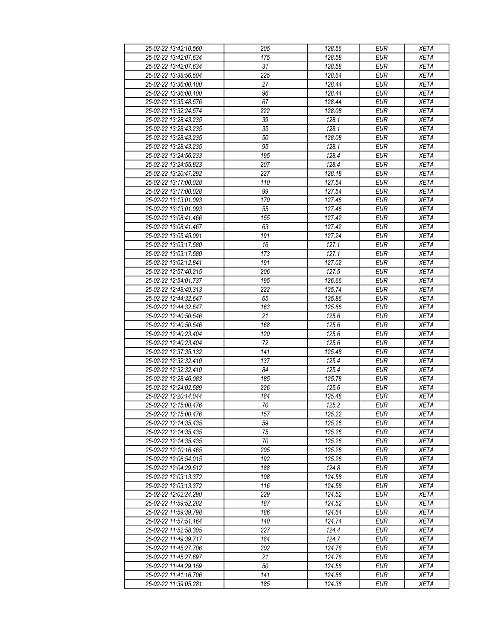| 25-02-22 13:42:10.560 | 205             | 128.56 | <b>EUR</b> | <b>XETA</b> |
|-----------------------|-----------------|--------|------------|-------------|
| 25-02-22 13:42:07.634 | 175             | 128.58 | <b>EUR</b> | <b>XETA</b> |
| 25-02-22 13:42:07.634 | 31              | 128.58 | <b>EUR</b> | <b>XETA</b> |
| 25-02-22 13:38:56.504 | 225             | 128.64 | <b>EUR</b> | <b>XETA</b> |
| 25-02-22 13:36:00.100 | 27              | 128.44 | <b>EUR</b> | <b>XETA</b> |
| 25-02-22 13:36:00.100 | 96              | 128.44 | <b>EUR</b> | <b>XETA</b> |
| 25-02-22 13:35:48.576 | 67              | 128.44 | <b>EUR</b> | <b>XETA</b> |
|                       | 222             |        |            |             |
| 25-02-22 13:32:24.574 |                 | 128.08 | <b>EUR</b> | <b>XETA</b> |
| 25-02-22 13:28:43.235 | 39              | 128.1  | <b>EUR</b> | <b>XETA</b> |
| 25-02-22 13:28:43.235 | 35              | 128.1  | <b>EUR</b> | <b>XETA</b> |
| 25-02-22 13:28:43.235 | 50              | 128.08 | <b>EUR</b> | <b>XETA</b> |
| 25-02-22 13:28:43.235 | 95              | 128.1  | <b>EUR</b> | <b>XETA</b> |
| 25-02-22 13:24:56.233 | 195             | 128.4  | <b>EUR</b> | <b>XETA</b> |
| 25-02-22 13:24:55.823 | 207             | 128.4  | <b>EUR</b> | <b>XETA</b> |
| 25-02-22 13:20:47.292 | 227             | 128.18 | EUR        | <b>XETA</b> |
| 25-02-22 13:17:00.028 | 110             | 127.54 | <b>EUR</b> | <b>XETA</b> |
| 25-02-22 13:17:00.028 | 99              | 127.54 | EUR        | <b>XETA</b> |
| 25-02-22 13:13:01.093 | 170             | 127.46 | <b>EUR</b> | <b>XETA</b> |
| 25-02-22 13:13:01.093 | $\overline{55}$ | 127.46 | <b>EUR</b> | <b>XETA</b> |
| 25-02-22 13:08:41.466 | 155             | 127.42 | <b>EUR</b> | <b>XETA</b> |
| 25-02-22 13:08:41.467 | 63              | 127.42 | <b>EUR</b> | <b>XETA</b> |
| 25-02-22 13:05:45.091 | 191             | 127.24 | <b>EUR</b> | <b>XETA</b> |
| 25-02-22 13:03:17.580 | 16              | 127.1  | <b>EUR</b> | <b>XETA</b> |
| 25-02-22 13:03:17.580 | 173             | 127.1  | <b>EUR</b> | <b>XETA</b> |
| 25-02-22 13:02:12.841 | 191             | 127.02 | <b>EUR</b> | <b>XETA</b> |
| 25-02-22 12:57:40.215 | 206             | 127.5  | EUR        | <b>XETA</b> |
| 25-02-22 12:54:01.737 | 195             | 126.66 | <b>EUR</b> | <b>XETA</b> |
| 25-02-22 12:48:49.313 | 222             | 125.74 | <b>EUR</b> | <b>XETA</b> |
| 25-02-22 12:44:32.647 | 65              | 125.86 | <b>EUR</b> | <b>XETA</b> |
| 25-02-22 12:44:32.647 | 163             | 125.86 | <b>EUR</b> | <b>XETA</b> |
| 25-02-22 12:40:50.546 | 21              | 125.6  | <b>EUR</b> | <b>XETA</b> |
| 25-02-22 12:40:50.546 | 168             | 125.6  | <b>EUR</b> | <b>XETA</b> |
| 25-02-22 12:40:23.404 | 120             | 125.6  | <b>EUR</b> | <b>XETA</b> |
| 25-02-22 12:40:23.404 | 72              | 125.6  | <b>EUR</b> | <b>XETA</b> |
| 25-02-22 12:37:35.132 | 141             | 125.48 | <b>EUR</b> | <b>XETA</b> |
|                       |                 |        |            |             |
| 25-02-22 12:32:32.410 | 137             | 125.4  | <b>EUR</b> | <b>XETA</b> |
| 25-02-22 12:32:32.410 | 84              | 125.4  | <b>EUR</b> | <b>XETA</b> |
| 25-02-22 12:28:46.083 | 185             | 125.78 | <b>EUR</b> | <b>XETA</b> |
| 25-02-22 12:24:02.589 | 226             | 125.6  | <b>EUR</b> | <b>XETA</b> |
| 25-02-22 12:20:14.044 | 184             | 125.48 | <b>EUR</b> | <b>XETA</b> |
| 25-02-22 12:15:00.476 | $70\,$          | 125.2  | <b>EUR</b> | <b>XETA</b> |
| 25-02-22 12:15:00.476 | 157             | 125.22 | <b>EUR</b> | <b>XETA</b> |
| 25-02-22 12:14:35.435 | 59              | 125.26 | <b>EUR</b> | <b>XETA</b> |
| 25-02-22 12:14:35.435 | 75              | 125.26 | <b>EUR</b> | <b>XETA</b> |
| 25-02-22 12:14:35.435 | 70              | 125.26 | <b>EUR</b> | <b>XETA</b> |
| 25-02-22 12:10:16.465 | 205             | 125.26 | <b>EUR</b> | <b>XETA</b> |
| 25-02-22 12:06:54.015 | 192             | 125.26 | <b>EUR</b> | <b>XETA</b> |
| 25-02-22 12:04:29.512 | 188             | 124.8  | <b>EUR</b> | <b>XETA</b> |
| 25-02-22 12:03:13.372 | 108             | 124.58 | <b>EUR</b> | <b>XETA</b> |
| 25-02-22 12:03:13.372 | 116             | 124.58 | <b>EUR</b> | <b>XETA</b> |
| 25-02-22 12:02:24.290 | 229             | 124.52 | <b>EUR</b> | <b>XETA</b> |
| 25-02-22 11:59:52.282 | 187             | 124.52 | <b>EUR</b> | <b>XETA</b> |
| 25-02-22 11:59:39.798 | 186             | 124.64 | <b>EUR</b> | <b>XETA</b> |
| 25-02-22 11:57:51.164 | 140             | 124.74 | <b>EUR</b> | <b>XETA</b> |
| 25-02-22 11:52:58.305 | 227             | 124.4  | <b>EUR</b> | <b>XETA</b> |
| 25-02-22 11:49:39.717 | 184             | 124.7  | <b>EUR</b> | <b>XETA</b> |
| 25-02-22 11:45:27.706 | 202             | 124.78 | <b>EUR</b> | <b>XETA</b> |
| 25-02-22 11:45:27.697 | 21              | 124.78 | <b>EUR</b> | <b>XETA</b> |
| 25-02-22 11:44:29.159 | 50              | 124.58 | <b>EUR</b> | <b>XETA</b> |
| 25-02-22 11:41:16.706 | 141             | 124.88 | <b>EUR</b> | <b>XETA</b> |
| 25-02-22 11:39:05.281 | 185             | 124.38 | <b>EUR</b> | <b>XETA</b> |
|                       |                 |        |            |             |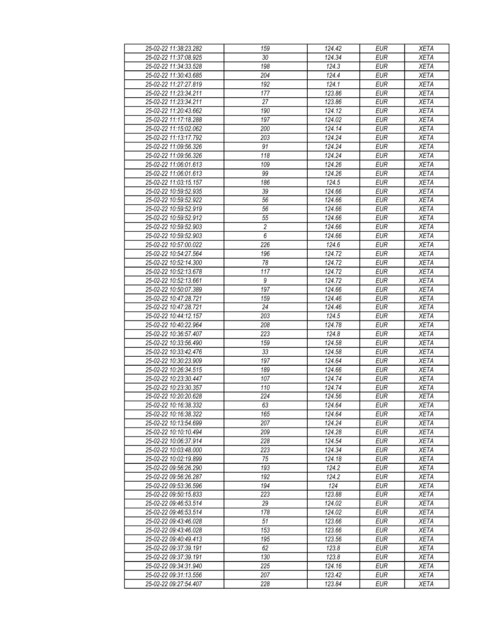| 25-02-22 11:38:23.282 | 159            | 124.42 | <b>EUR</b> | <b>XETA</b> |
|-----------------------|----------------|--------|------------|-------------|
| 25-02-22 11:37:08.925 | 30             | 124.34 | <b>EUR</b> | <b>XETA</b> |
| 25-02-22 11:34:33.528 | 198            | 124.3  | <b>EUR</b> | <b>XETA</b> |
| 25-02-22 11:30:43.685 | 204            | 124.4  | <b>EUR</b> | <b>XETA</b> |
| 25-02-22 11:27:27.819 | 192            | 124.1  | <b>EUR</b> | <b>XETA</b> |
| 25-02-22 11:23:34.211 | 177            | 123.86 | <b>EUR</b> | <b>XETA</b> |
| 25-02-22 11:23:34.211 | 27             | 123.86 | <b>EUR</b> | <b>XETA</b> |
| 25-02-22 11:20:43.662 | 190            | 124.12 | <b>EUR</b> | <b>XETA</b> |
| 25-02-22 11:17:18.288 | 197            | 124.02 | <b>EUR</b> | <b>XETA</b> |
| 25-02-22 11:15:02.062 | 200            | 124.14 | <b>EUR</b> | <b>XETA</b> |
| 25-02-22 11:13:17.792 | 203            | 124.24 | <b>EUR</b> | <b>XETA</b> |
| 25-02-22 11:09:56.326 | 91             | 124.24 | <b>EUR</b> | <b>XETA</b> |
| 25-02-22 11:09:56.326 | 118            | 124.24 | <b>EUR</b> | <b>XETA</b> |
| 25-02-22 11:06:01.613 | 109            | 124.26 | <b>EUR</b> | <b>XETA</b> |
| 25-02-22 11:06:01.613 | 99             | 124.26 | <b>EUR</b> | <b>XETA</b> |
| 25-02-22 11:03:15.157 | 186            | 124.5  | <b>EUR</b> | <b>XETA</b> |
| 25-02-22 10:59:52.935 | 39             | 124.66 | EUR        | <b>XETA</b> |
|                       |                |        |            |             |
| 25-02-22 10:59:52.922 | 56             | 124.66 | <b>EUR</b> | <b>XETA</b> |
| 25-02-22 10:59:52.919 | 56             | 124.66 | <b>EUR</b> | <b>XETA</b> |
| 25-02-22 10:59:52.912 | 55             | 124.66 | <b>EUR</b> | <b>XETA</b> |
| 25-02-22 10:59:52.903 | $\overline{2}$ | 124.66 | <b>EUR</b> | <b>XETA</b> |
| 25-02-22 10:59:52.903 | $\overline{6}$ | 124.66 | <b>EUR</b> | <b>XETA</b> |
| 25-02-22 10:57:00.022 | 226            | 124.6  | <b>EUR</b> | <b>XETA</b> |
| 25-02-22 10:54:27.564 | 196            | 124.72 | <b>EUR</b> | <b>XETA</b> |
| 25-02-22 10:52:14.300 | 78             | 124.72 | <b>EUR</b> | <b>XETA</b> |
| 25-02-22 10:52:13.678 | 117            | 124.72 | <b>EUR</b> | <b>XETA</b> |
| 25-02-22 10:52:13.661 | 9              | 124.72 | <b>EUR</b> | <b>XETA</b> |
| 25-02-22 10:50:07.389 | 197            | 124.66 | <b>EUR</b> | <b>XETA</b> |
| 25-02-22 10:47:28.721 | 159            | 124.46 | <b>EUR</b> | <b>XETA</b> |
| 25-02-22 10:47:28.721 | 24             | 124.46 | <b>EUR</b> | <b>XETA</b> |
| 25-02-22 10:44:12.157 | 203            | 124.5  | <b>EUR</b> | <b>XETA</b> |
| 25-02-22 10:40:22.964 | 208            | 124.78 | <b>EUR</b> | <b>XETA</b> |
| 25-02-22 10:36:57.407 | 223            | 124.8  | <b>EUR</b> | <b>XETA</b> |
| 25-02-22 10:33:56.490 | 159            | 124.58 | <b>EUR</b> | <b>XETA</b> |
| 25-02-22 10:33:42.476 | 33             | 124.58 | <b>EUR</b> | <b>XETA</b> |
| 25-02-22 10:30:23.909 | 197            | 124.64 | <b>EUR</b> | <b>XETA</b> |
| 25-02-22 10:26:34.515 | 189            | 124.66 | <b>EUR</b> | <b>XETA</b> |
| 25-02-22 10:23:30.447 | 107            | 124.74 | <b>EUR</b> | <b>XETA</b> |
| 25-02-22 10:23:30.357 | 110            | 124.74 | <b>EUR</b> | <b>XETA</b> |
| 25-02-22 10:20:20.628 | 224            | 124.56 | <b>EUR</b> | <b>XETA</b> |
| 25-02-22 10:16:38.332 | 63             | 124.64 | EUR        | <b>XETA</b> |
| 25-02-22 10:16:38.322 | 165            | 124.64 | <b>EUR</b> | <b>XETA</b> |
| 25-02-22 10:13:54.699 | 207            | 124.24 | <b>EUR</b> | <b>XETA</b> |
| 25-02-22 10:10:10.494 | 209            | 124.28 | <b>EUR</b> | <b>XETA</b> |
| 25-02-22 10:06:37.914 | 228            | 124.54 | <b>EUR</b> | <b>XETA</b> |
| 25-02-22 10:03:48.000 | 223            | 124.34 | <b>EUR</b> | <b>XETA</b> |
| 25-02-22 10:02:19.899 | 75             | 124.18 | <b>EUR</b> | <b>XETA</b> |
| 25-02-22 09:56:26.290 | 193            | 124.2  | <b>EUR</b> | <b>XETA</b> |
| 25-02-22 09:56:26.287 | 192            | 124.2  | <b>EUR</b> | <b>XETA</b> |
| 25-02-22 09:53:36.596 | 194            | 124    | <b>EUR</b> | <b>XETA</b> |
| 25-02-22 09:50:15.833 | 223            | 123.88 | <b>EUR</b> | <b>XETA</b> |
| 25-02-22 09:46:53.514 | 29             | 124.02 | <b>EUR</b> | <b>XETA</b> |
| 25-02-22 09:46:53.514 | 178            | 124.02 | <b>EUR</b> | <b>XETA</b> |
| 25-02-22 09:43:46.028 | 51             | 123.66 | <b>EUR</b> | <b>XETA</b> |
| 25-02-22 09:43:46.028 | 153            | 123.66 | <b>EUR</b> | <b>XETA</b> |
| 25-02-22 09:40:49.413 | 195            | 123.56 | <b>EUR</b> | <b>XETA</b> |
| 25-02-22 09:37:39.191 | 62             | 123.8  | <b>EUR</b> | <b>XETA</b> |
| 25-02-22 09:37:39.191 | 130            | 123.8  | <b>EUR</b> | <b>XETA</b> |
| 25-02-22 09:34:31.940 | 225            | 124.16 | <b>EUR</b> | <b>XETA</b> |
| 25-02-22 09:31:13.556 | 207            | 123.42 | <b>EUR</b> | <b>XETA</b> |
| 25-02-22 09:27:54.407 | 228            | 123.84 | <b>EUR</b> | <b>XETA</b> |
|                       |                |        |            |             |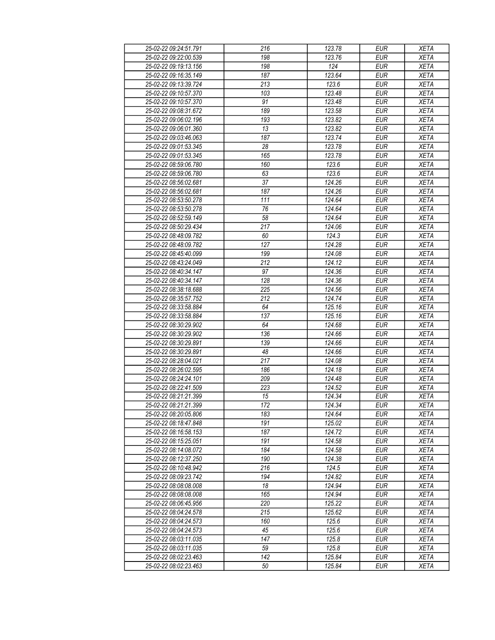| 25-02-22 09:24:51.791 | 216              | 123.78 | <b>EUR</b>       | <b>XETA</b> |
|-----------------------|------------------|--------|------------------|-------------|
| 25-02-22 09:22:00.539 | 198              | 123.76 | <b>EUR</b>       | <b>XETA</b> |
| 25-02-22 09:19:13.156 | 198              | 124    | <b>EUR</b>       | <b>XETA</b> |
| 25-02-22 09:16:35.149 | 187              | 123.64 | <b>EUR</b>       | <b>XETA</b> |
| 25-02-22 09:13:39.724 | 213              | 123.6  | <b>EUR</b>       | <b>XETA</b> |
| 25-02-22 09:10:57.370 | 103              | 123.48 | <b>EUR</b>       | <b>XETA</b> |
| 25-02-22 09:10:57.370 | 91               | 123.48 | <b>EUR</b>       | <b>XETA</b> |
| 25-02-22 09:08:31.672 | 189              | 123.58 | <b>EUR</b>       | <b>XETA</b> |
|                       |                  |        |                  |             |
| 25-02-22 09:06:02.196 | 193              | 123.82 | <b>EUR</b>       | <b>XETA</b> |
| 25-02-22 09:06:01.360 | 13               | 123.82 | <b>EUR</b>       | <b>XETA</b> |
| 25-02-22 09:03:46.063 | 187              | 123.74 | <b>EUR</b>       | <b>XETA</b> |
| 25-02-22 09:01:53.345 | 28               | 123.78 | <b>EUR</b>       | <b>XETA</b> |
| 25-02-22 09:01:53.345 | 165              | 123.78 | <b>EUR</b>       | <b>XETA</b> |
| 25-02-22 08:59:06.780 | 160              | 123.6  | <b>EUR</b>       | <b>XETA</b> |
| 25-02-22 08:59:06.780 | 63               | 123.6  | <b>EUR</b>       | <b>XETA</b> |
| 25-02-22 08:56:02.681 | 37               | 124.26 | <b>EUR</b>       | <b>XETA</b> |
| 25-02-22 08:56:02.681 | 187              | 124.26 | EUR              | <b>XETA</b> |
|                       |                  |        |                  |             |
| 25-02-22 08:53:50.278 | 111              | 124.64 | <b>EUR</b>       | <b>XETA</b> |
| 25-02-22 08:53:50.278 | 76               | 124.64 | <b>EUR</b>       | <b>XETA</b> |
| 25-02-22 08:52:59.149 | 58               | 124.64 | $E\overline{UR}$ | <b>XETA</b> |
| 25-02-22 08:50:29.434 | 217              | 124.06 | <b>EUR</b>       | <b>XETA</b> |
| 25-02-22 08:48:09.782 | 60               | 124.3  | <b>EUR</b>       | <b>XETA</b> |
| 25-02-22 08:48:09.782 | 127              | 124.28 | <b>EUR</b>       | <b>XETA</b> |
| 25-02-22 08:45:40.099 | 199              | 124.08 | <b>EUR</b>       | <b>XETA</b> |
| 25-02-22 08:43:24.049 | 212              | 124.12 | <b>EUR</b>       | <b>XETA</b> |
| 25-02-22 08:40:34.147 | 97               | 124.36 | <b>EUR</b>       | <b>XETA</b> |
| 25-02-22 08:40:34.147 | 128              | 124.36 | <b>EUR</b>       |             |
|                       |                  |        |                  | <b>XETA</b> |
| 25-02-22 08:38:18.688 | 225              | 124.56 | <b>EUR</b>       | <b>XETA</b> |
| 25-02-22 08:35:57.752 | 212              | 124.74 | <b>EUR</b>       | <b>XETA</b> |
| 25-02-22 08:33:58.884 | 64               | 125.16 | <b>EUR</b>       | <b>XETA</b> |
| 25-02-22 08:33:58.884 | 137              | 125.16 | <b>EUR</b>       | <b>XETA</b> |
| 25-02-22 08:30:29.902 | 64               | 124.68 | <b>EUR</b>       | <b>XETA</b> |
| 25-02-22 08:30:29.902 | 136              | 124.66 | <b>EUR</b>       | <b>XETA</b> |
| 25-02-22 08:30:29.891 | 139              | 124.66 | <b>EUR</b>       | <b>XETA</b> |
| 25-02-22 08:30:29.891 | 48               | 124.66 | <b>EUR</b>       | <b>XETA</b> |
| 25-02-22 08:28:04.021 | 217              | 124.08 | <b>EUR</b>       | <b>XETA</b> |
| 25-02-22 08:26:02.595 | 186              | 124.18 | <b>EUR</b>       | <b>XETA</b> |
| 25-02-22 08:24:24.101 |                  |        |                  |             |
|                       | 209              | 124.48 | <b>EUR</b>       | <b>XETA</b> |
| 25-02-22 08:22:41.509 | 223              | 124.52 | <b>EUR</b>       | <b>XETA</b> |
| 25-02-22 08:21:21.399 | 15               | 124.34 | <b>EUR</b>       | <b>XETA</b> |
| 25-02-22 08:21:21.399 | $\overline{172}$ | 124.34 | <b>EUR</b>       | <b>XETA</b> |
| 25-02-22 08:20:05.806 | 183              | 124.64 | <b>EUR</b>       | <b>XETA</b> |
| 25-02-22 08:18:47.848 | 191              | 125.02 | <b>EUR</b>       | <b>XETA</b> |
| 25-02-22 08:16:58.153 | 187              | 124.72 | <b>EUR</b>       | <b>XETA</b> |
| 25-02-22 08:15:25.051 | 191              | 124.58 | <b>EUR</b>       | <b>XETA</b> |
| 25-02-22 08:14:08.072 | 184              | 124.58 | <b>EUR</b>       | <b>XETA</b> |
| 25-02-22 08:12:37.250 | 190              | 124.38 | <b>EUR</b>       | <b>XETA</b> |
| 25-02-22 08:10:48.942 | 216              | 124.5  | <b>EUR</b>       | <b>XETA</b> |
| 25-02-22 08:09:23.742 | 194              | 124.82 | <b>EUR</b>       | <b>XETA</b> |
|                       |                  |        |                  |             |
| 25-02-22 08:08:08.008 | 18               | 124.94 | <b>EUR</b>       | <b>XETA</b> |
| 25-02-22 08:08:08.008 | 165              | 124.94 | <b>EUR</b>       | <b>XETA</b> |
| 25-02-22 08:06:45.956 | 220              | 125.22 | <b>EUR</b>       | <b>XETA</b> |
| 25-02-22 08:04:24.578 | 215              | 125.62 | <b>EUR</b>       | <b>XETA</b> |
| 25-02-22 08:04:24.573 | 160              | 125.6  | <b>EUR</b>       | <b>XETA</b> |
| 25-02-22 08:04:24.573 | 45               | 125.6  | <b>EUR</b>       | <b>XETA</b> |
| 25-02-22 08:03:11.035 | 147              | 125.8  | <b>EUR</b>       | <b>XETA</b> |
| 25-02-22 08:03:11.035 | 59               | 125.8  | <b>EUR</b>       | <b>XETA</b> |
| 25-02-22 08:02:23.463 | 142              | 125.84 | <b>EUR</b>       | <b>XETA</b> |
|                       |                  |        |                  |             |
| 25-02-22 08:02:23.463 | 50               | 125.84 | <b>EUR</b>       | <b>XETA</b> |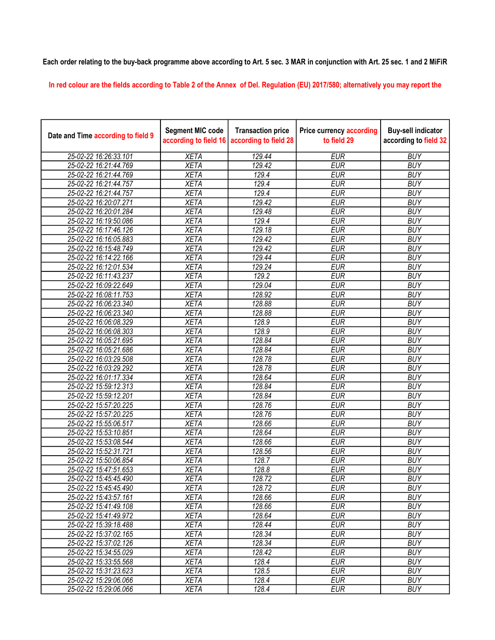## Each order relating to the buy-back programme above according to Art. 5 sec. 3 MAR in conjunction with Art. 25 sec. 1 and 2 MiFiR

In red colour are the fields according to Table 2 of the Annex of Del. Regulation (EU) 2017/580; alternatively you may report the

| Date and Time according to field 9 | <b>Segment MIC code</b><br>according to field 16 | <b>Transaction price</b><br>according to field 28 | <b>Price currency according</b><br>to field 29 | <b>Buy-sell indicator</b><br>according to field 32 |
|------------------------------------|--------------------------------------------------|---------------------------------------------------|------------------------------------------------|----------------------------------------------------|
| 25-02-22 16:26:33.101              | <b>XETA</b>                                      | 129.44                                            | <b>EUR</b>                                     | <b>BUY</b>                                         |
| 25-02-22 16:21:44.769              | <b>XETA</b>                                      | 129.42                                            | <b>EUR</b>                                     | <b>BUY</b>                                         |
| 25-02-22 16:21:44.769              | <b>XETA</b>                                      | 129.4                                             | <b>EUR</b>                                     | <b>BUY</b>                                         |
| 25-02-22 16:21:44.757              | <b>XETA</b>                                      | 129.4                                             | <b>EUR</b>                                     | <b>BUY</b>                                         |
| 25-02-22 16:21:44.757              | <b>XETA</b>                                      | 129.4                                             | <b>EUR</b>                                     | <b>BUY</b>                                         |
| 25-02-22 16:20:07.271              | <b>XETA</b>                                      | 129.42                                            | <b>EUR</b>                                     | <b>BUY</b>                                         |
| 25-02-22 16:20:01.284              | <b>XETA</b>                                      | 129.48                                            | <b>EUR</b>                                     | <b>BUY</b>                                         |
| 25-02-22 16:19:50.086              | <b>XETA</b>                                      | 129.4                                             | <b>EUR</b>                                     | <b>BUY</b>                                         |
| 25-02-22 16:17:46.126              | <b>XETA</b>                                      | 129.18                                            | <b>EUR</b>                                     | <b>BUY</b>                                         |
| 25-02-22 16:16:05.883              | <b>XETA</b>                                      | 129.42                                            | <b>EUR</b>                                     | <b>BUY</b>                                         |
| 25-02-22 16:15:48.749              | <b>XETA</b>                                      | 129.42                                            | <b>EUR</b>                                     | <b>BUY</b>                                         |
| 25-02-22 16:14:22.166              | <b>XETA</b>                                      | 129.44                                            | <b>EUR</b>                                     | <b>BUY</b>                                         |
| 25-02-22 16:12:01.534              | <b>XETA</b>                                      | 129.24                                            | <b>EUR</b>                                     | <b>BUY</b>                                         |
| 25-02-22 16:11:43.237              | <b>XETA</b>                                      | 129.2                                             | <b>EUR</b>                                     | <b>BUY</b>                                         |
| 25-02-22 16:09:22.649              | <b>XETA</b>                                      | 129.04                                            | <b>EUR</b>                                     | <b>BUY</b>                                         |
| 25-02-22 16:08:11.753              | <b>XETA</b>                                      | 128.92                                            | <b>EUR</b>                                     | <b>BUY</b>                                         |
| 25-02-22 16:06:23.340              | <b>XETA</b>                                      | 128.88                                            | <b>EUR</b>                                     | <b>BUY</b>                                         |
| 25-02-22 16:06:23.340              | <b>XETA</b>                                      | 128.88                                            | <b>EUR</b>                                     | <b>BUY</b>                                         |
| 25-02-22 16:06:08.329              | <b>XETA</b>                                      | 128.9                                             | <b>EUR</b>                                     | <b>BUY</b>                                         |
| 25-02-22 16:06:08.303              | <b>XETA</b>                                      | 128.9                                             | <b>EUR</b>                                     | <b>BUY</b>                                         |
| 25-02-22 16:05:21.695              | <b>XETA</b>                                      | 128.84                                            | <b>EUR</b>                                     | <b>BUY</b>                                         |
| 25-02-22 16:05:21.686              | <b>XETA</b>                                      | 128.84                                            | <b>EUR</b>                                     | <b>BUY</b>                                         |
| 25-02-22 16:03:29.508              | <b>XETA</b>                                      | 128.78                                            | <b>EUR</b>                                     | <b>BUY</b>                                         |
| 25-02-22 16:03:29.292              | <b>XETA</b>                                      | 128.78                                            | <b>EUR</b>                                     | <b>BUY</b>                                         |
| 25-02-22 16:01:17.334              | <b>XETA</b>                                      | 128.64                                            | <b>EUR</b>                                     | <b>BUY</b>                                         |
| 25-02-22 15:59:12.313              | <b>XETA</b>                                      | 128.84                                            | <b>EUR</b>                                     | <b>BUY</b>                                         |
| 25-02-22 15:59:12.201              | <b>XETA</b>                                      | 128.84                                            | <b>EUR</b>                                     | <b>BUY</b>                                         |
| 25-02-22 15:57:20.225              | <b>XETA</b>                                      | 128.76                                            | <b>EUR</b>                                     | <b>BUY</b>                                         |
| 25-02-22 15:57:20.225              | <b>XETA</b>                                      | 128.76                                            | <b>EUR</b>                                     | <b>BUY</b>                                         |
| 25-02-22 15:55:06.517              | <b>XETA</b>                                      | 128.66                                            | <b>EUR</b>                                     | <b>BUY</b>                                         |
| 25-02-22 15:53:10.851              | <b>XETA</b>                                      | 128.64                                            | <b>EUR</b>                                     | <b>BUY</b>                                         |
| 25-02-22 15:53:08.544              | <b>XETA</b>                                      | 128.66                                            | <b>EUR</b>                                     | <b>BUY</b>                                         |
| 25-02-22 15:52:31.721              | <b>XETA</b>                                      | 128.56                                            | <b>EUR</b>                                     | <b>BUY</b>                                         |
| 25-02-22 15:50:06.854              | <b>XETA</b>                                      | 128.7                                             | <b>EUR</b>                                     | <b>BUY</b>                                         |
| 25-02-22 15:47:51.653              | <b>XETA</b>                                      | 128.8                                             | <b>EUR</b>                                     | <b>BUY</b>                                         |
| 25-02-22 15:45:45.490              | XETA                                             | 128.72                                            | <b>EUR</b>                                     | <b>BUY</b>                                         |
| 25-02-22 15:45:45.490              | <b>XETA</b>                                      | 128.72                                            | <b>EUR</b>                                     | <b>BUY</b>                                         |
| 25-02-22 15:43:57.161              | <b>XETA</b>                                      | 128.66                                            | <b>EUR</b>                                     | <b>BUY</b>                                         |
| 25-02-22 15:41:49.108              | <b>XETA</b>                                      | 128.66                                            | <b>EUR</b>                                     | <b>BUY</b>                                         |
| 25-02-22 15:41:49.972              | <b>XETA</b>                                      | 128.64                                            | <b>EUR</b>                                     | <b>BUY</b>                                         |
| 25-02-22 15:39:18.488              | <b>XETA</b>                                      | 128.44                                            | <b>EUR</b>                                     | <b>BUY</b>                                         |
| 25-02-22 15:37:02.165              | <b>XETA</b>                                      | 128.34                                            | <b>EUR</b>                                     | <b>BUY</b>                                         |
| 25-02-22 15:37:02.126              | <b>XETA</b>                                      | 128.34                                            | <b>EUR</b>                                     | <b>BUY</b>                                         |
| 25-02-22 15:34:55.029              | <b>XETA</b>                                      | 128.42                                            | <b>EUR</b>                                     | <b>BUY</b>                                         |
| 25-02-22 15:33:55.568              | <b>XETA</b>                                      | 128.4                                             | <b>EUR</b>                                     | <b>BUY</b>                                         |
| 25-02-22 15:31:23.623              | <b>XETA</b>                                      | 128.5                                             | <b>EUR</b>                                     | <b>BUY</b>                                         |
| 25-02-22 15:29:06.066              | <b>XETA</b>                                      | 128.4                                             | <b>EUR</b>                                     | <b>BUY</b>                                         |
| 25-02-22 15:29:06.066              | <b>XETA</b>                                      | 128.4                                             | <b>EUR</b>                                     | <b>BUY</b>                                         |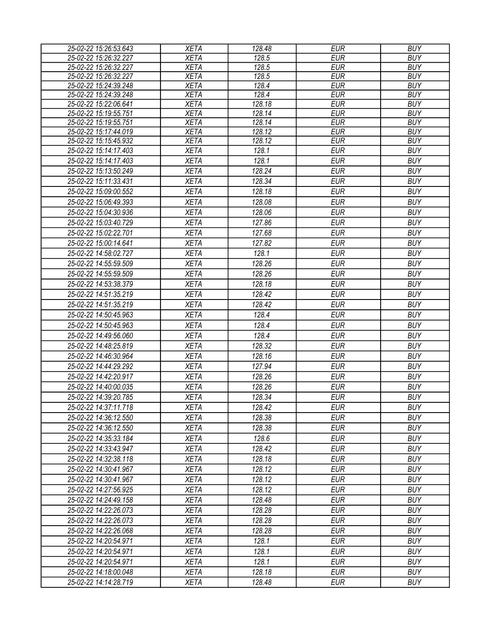| 25-02-22 15:26:53.643 | <b>XETA</b> | 128.48 | <b>EUR</b> | <b>BUY</b> |
|-----------------------|-------------|--------|------------|------------|
| 25-02-22 15:26:32.227 | <b>XETA</b> | 128.5  | <b>EUR</b> | <b>BUY</b> |
| 25-02-22 15:26:32.227 | <b>XETA</b> | 128.5  | <b>EUR</b> | <b>BUY</b> |
| 25-02-22 15:26:32.227 | <b>XETA</b> | 128.5  | <b>EUR</b> | <b>BUY</b> |
| 25-02-22 15:24:39.248 | <b>XETA</b> | 128.4  | <b>EUR</b> | <b>BUY</b> |
| 25-02-22 15:24:39.248 | <b>XETA</b> | 128.4  | <b>EUR</b> | <b>BUY</b> |
| 25-02-22 15:22:06.641 | <b>XETA</b> | 128.18 | <b>EUR</b> | <b>BUY</b> |
| 25-02-22 15:19:55.751 | <b>XETA</b> | 128.14 | <b>EUR</b> | <b>BUY</b> |
| 25-02-22 15:19:55.751 | <b>XETA</b> | 128.14 | <b>EUR</b> | <b>BUY</b> |
| 25-02-22 15:17:44.019 | <b>XETA</b> | 128.12 | <b>EUR</b> | <b>BUY</b> |
| 25-02-22 15:15:45.932 | <b>XETA</b> | 128.12 | <b>EUR</b> | <b>BUY</b> |
| 25-02-22 15:14:17.403 | <b>XETA</b> | 128.1  | <b>EUR</b> | <b>BUY</b> |
| 25-02-22 15:14:17.403 | <b>XETA</b> | 128.1  | <b>EUR</b> | <b>BUY</b> |
| 25-02-22 15:13:50.249 | <b>XETA</b> | 128.24 | <b>EUR</b> | <b>BUY</b> |
| 25-02-22 15:11:33.431 | <b>XETA</b> | 128.34 | <b>EUR</b> | <b>BUY</b> |
| 25-02-22 15:09:00.552 | <b>XETA</b> | 128.18 | <b>EUR</b> | <b>BUY</b> |
| 25-02-22 15:06:49.393 | <b>XETA</b> | 128.08 | <b>EUR</b> | <b>BUY</b> |
| 25-02-22 15:04:30.936 | <b>XETA</b> | 128.06 | <b>EUR</b> | <b>BUY</b> |
| 25-02-22 15:03:40.729 | <b>XETA</b> | 127.86 | <b>EUR</b> | <b>BUY</b> |
| 25-02-22 15:02:22.701 | <b>XETA</b> | 127.68 | <b>EUR</b> | <b>BUY</b> |
| 25-02-22 15:00:14.641 | <b>XETA</b> | 127.82 | <b>EUR</b> | <b>BUY</b> |
| 25-02-22 14:58:02.727 | <b>XETA</b> | 128.1  | <b>EUR</b> | <b>BUY</b> |
| 25-02-22 14:55:59.509 | <b>XETA</b> | 128.26 | <b>EUR</b> | <b>BUY</b> |
| 25-02-22 14:55:59.509 | <b>XETA</b> | 128.26 | <b>EUR</b> | <b>BUY</b> |
| 25-02-22 14:53:38.379 | <b>XETA</b> | 128.18 | <b>EUR</b> | <b>BUY</b> |
| 25-02-22 14:51:35.219 | <b>XETA</b> | 128.42 | <b>EUR</b> | <b>BUY</b> |
| 25-02-22 14:51:35.219 | <b>XETA</b> | 128.42 | <b>EUR</b> | <b>BUY</b> |
| 25-02-22 14:50:45.963 | <b>XETA</b> | 128.4  | <b>EUR</b> | <b>BUY</b> |
| 25-02-22 14:50:45.963 | <b>XETA</b> | 128.4  | <b>EUR</b> | <b>BUY</b> |
|                       |             | 128.4  | <b>EUR</b> | <b>BUY</b> |
| 25-02-22 14:49:56.060 | <b>XETA</b> |        |            |            |
| 25-02-22 14:48:25.819 | <b>XETA</b> | 128.32 | <b>EUR</b> | <b>BUY</b> |
| 25-02-22 14:46:30.964 | <b>XETA</b> | 128.16 | <b>EUR</b> | <b>BUY</b> |
| 25-02-22 14:44:29.292 | <b>XETA</b> | 127.94 | <b>EUR</b> | <b>BUY</b> |
| 25-02-22 14:42:20.917 | <b>XETA</b> | 128.26 | <b>EUR</b> | <b>BUY</b> |
| 25-02-22 14:40:00.035 | <b>XETA</b> | 128.26 | <b>EUR</b> | <b>BUY</b> |
| 25-02-22 14:39:20.785 | <b>XETA</b> | 128.34 | <b>EUR</b> | <b>BUY</b> |
| 25-02-22 14:37:11.718 | <b>XETA</b> | 128.42 | <b>EUR</b> | <b>BUY</b> |
| 25-02-22 14:36:12.550 | <b>XETA</b> | 128.38 | EUR        | <b>BUY</b> |
| 25-02-22 14:36:12.550 | <b>XETA</b> | 128.38 | EUR        | <b>BUY</b> |
| 25-02-22 14:35:33.184 | <b>XETA</b> | 128.6  | <b>EUR</b> | <b>BUY</b> |
| 25-02-22 14:33:43.947 | <b>XETA</b> | 128.42 | <b>EUR</b> | <b>BUY</b> |
| 25-02-22 14:32:38.118 | <b>XETA</b> | 128.18 | <b>EUR</b> | <b>BUY</b> |
| 25-02-22 14:30:41.967 | <b>XETA</b> | 128.12 | <b>EUR</b> | <b>BUY</b> |
| 25-02-22 14:30:41.967 | <b>XETA</b> | 128.12 | <b>EUR</b> | <b>BUY</b> |
| 25-02-22 14:27:56.925 | <b>XETA</b> | 128.12 | <b>EUR</b> | <b>BUY</b> |
| 25-02-22 14:24:49.158 | <b>XETA</b> | 128.48 | <b>EUR</b> | <b>BUY</b> |
| 25-02-22 14:22:26.073 | <b>XETA</b> | 128.28 | <b>EUR</b> | <b>BUY</b> |
| 25-02-22 14:22:26.073 | <b>XETA</b> | 128.28 | <b>EUR</b> | <b>BUY</b> |
| 25-02-22 14:22:26.068 | <b>XETA</b> | 128.28 | <b>EUR</b> | <b>BUY</b> |
|                       |             | 128.1  | <b>EUR</b> | <b>BUY</b> |
| 25-02-22 14:20:54.971 | <b>XETA</b> |        |            |            |
| 25-02-22 14:20:54.971 | <b>XETA</b> | 128.1  | <b>EUR</b> | <b>BUY</b> |
| 25-02-22 14:20:54.971 | <b>XETA</b> | 128.1  | <b>EUR</b> | <b>BUY</b> |
| 25-02-22 14:18:00.048 | <b>XETA</b> | 128.18 | <b>EUR</b> | <b>BUY</b> |
| 25-02-22 14:14:28.719 | <b>XETA</b> | 128.48 | <b>EUR</b> | <b>BUY</b> |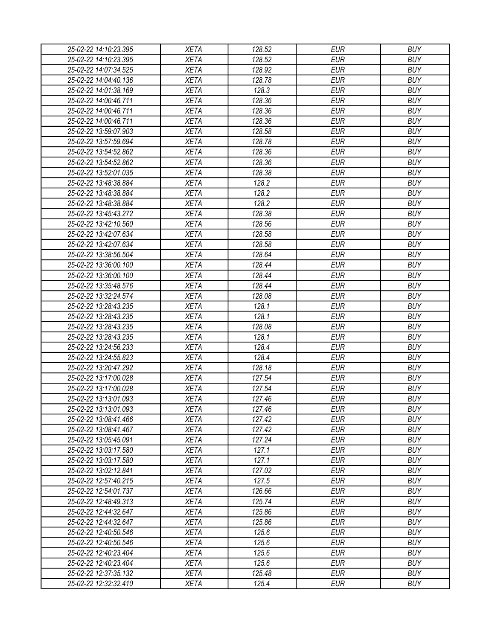| 25-02-22 14:10:23.395                          | XETA                       | 128.52           | <b>EUR</b>               | <b>BUY</b>               |
|------------------------------------------------|----------------------------|------------------|--------------------------|--------------------------|
| 25-02-22 14:10:23.395                          | <b>XETA</b>                | 128.52           | <b>EUR</b>               | <b>BUY</b>               |
| 25-02-22 14:07:34.525                          | <b>XETA</b>                | 128.92           | <b>EUR</b>               | <b>BUY</b>               |
| 25-02-22 14:04:40.136                          | <b>XETA</b>                | 128.78           | <b>EUR</b>               | <b>BUY</b>               |
| 25-02-22 14:01:38.169                          | <b>XETA</b>                | 128.3            | <b>EUR</b>               | <b>BUY</b>               |
| 25-02-22 14:00:46.711                          | <b>XETA</b>                | 128.36           | <b>EUR</b>               | <b>BUY</b>               |
| 25-02-22 14:00:46.711                          | <b>XETA</b>                | 128.36           | <b>EUR</b>               | <b>BUY</b>               |
| 25-02-22 14:00:46.711                          | <b>XETA</b>                | 128.36           | <b>EUR</b>               | <b>BUY</b>               |
| 25-02-22 13:59:07.903                          | <b>XETA</b>                | 128.58           | <b>EUR</b>               | <b>BUY</b>               |
| 25-02-22 13:57:59.694                          | <b>XETA</b>                | 128.78           | <b>EUR</b>               | <b>BUY</b>               |
| 25-02-22 13:54:52.862                          | <b>XETA</b>                | 128.36           | <b>EUR</b>               | <b>BUY</b>               |
| 25-02-22 13:54:52.862                          | <b>XETA</b>                | 128.36           | <b>EUR</b>               | <b>BUY</b>               |
| 25-02-22 13:52:01.035                          | <b>XETA</b>                | 128.38           | <b>EUR</b>               | <b>BUY</b>               |
| 25-02-22 13:48:38.884                          | <b>XETA</b>                | 128.2            | <b>EUR</b>               | <b>BUY</b>               |
| 25-02-22 13:48:38.884                          | <b>XETA</b>                | 128.2            | <b>EUR</b>               | <b>BUY</b>               |
| 25-02-22 13:48:38.884                          | <b>XETA</b>                | 128.2            | <b>EUR</b>               | <b>BUY</b>               |
| 25-02-22 13:45:43.272                          | <b>XETA</b>                | 128.38           | <b>EUR</b>               | <b>BUY</b>               |
| 25-02-22 13:42:10.560                          | <b>XETA</b>                | 128.56           | <b>EUR</b>               | <b>BUY</b>               |
| 25-02-22 13:42:07.634                          | <b>XETA</b>                | 128.58           | <b>EUR</b>               | <b>BUY</b>               |
| 25-02-22 13:42:07.634                          | <b>XETA</b>                | 128.58           | <b>EUR</b>               | <b>BUY</b>               |
| 25-02-22 13:38:56.504                          | <b>XETA</b>                | 128.64           | <b>EUR</b>               | <b>BUY</b>               |
| 25-02-22 13:36:00.100                          | <b>XETA</b>                | 128.44           | <b>EUR</b>               | <b>BUY</b>               |
| 25-02-22 13:36:00.100                          | <b>XETA</b>                | 128.44           | <b>EUR</b>               | <b>BUY</b>               |
| 25-02-22 13:35:48.576                          | <b>XETA</b>                | 128.44           | <b>EUR</b>               | <b>BUY</b>               |
| 25-02-22 13:32:24.574                          | <b>XETA</b>                | 128.08           | <b>EUR</b>               | <b>BUY</b>               |
| 25-02-22 13:28:43.235                          | <b>XETA</b>                | 128.1            | <b>EUR</b>               | <b>BUY</b>               |
| 25-02-22 13:28:43.235                          | <b>XETA</b>                | 128.1            | <b>EUR</b>               | <b>BUY</b>               |
| 25-02-22 13:28:43.235                          | <b>XETA</b>                | 128.08           | <b>EUR</b>               | <b>BUY</b>               |
| 25-02-22 13:28:43.235                          | <b>XETA</b>                | 128.1            | <b>EUR</b>               | <b>BUY</b>               |
| 25-02-22 13:24:56.233                          | <b>XETA</b>                | 128.4            | <b>EUR</b>               | <b>BUY</b>               |
| 25-02-22 13:24:55.823                          | <b>XETA</b>                | 128.4            | <b>EUR</b>               | <b>BUY</b>               |
| 25-02-22 13:20:47.292                          | <b>XETA</b>                | 128.18           | <b>EUR</b>               | <b>BUY</b>               |
| 25-02-22 13:17:00.028                          | <b>XETA</b>                | 127.54           | <b>EUR</b>               | <b>BUY</b>               |
| 25-02-22 13:17:00.028                          | <b>XETA</b>                | 127.54           | <b>EUR</b>               | <b>BUY</b>               |
| 25-02-22 13:13:01.093                          | <b>XETA</b>                | 127.46           | <b>EUR</b>               | <b>BUY</b>               |
| 25-02-22 13:13:01.093                          | <b>XETA</b>                |                  | <b>EUR</b>               | <b>BUY</b>               |
|                                                |                            | 127.46<br>127.42 | <b>EUR</b>               | <b>BUY</b>               |
| 25-02-22 13:08:41.466                          | <b>XETA</b><br><b>XETA</b> | 127.42           | <b>EUR</b>               | <b>BUY</b>               |
| 25-02-22 13:08:41.467                          |                            |                  |                          |                          |
| 25-02-22 13:05:45.091<br>25-02-22 13:03:17.580 | <b>XETA</b><br><b>XETA</b> | 127.24<br>127.1  | <b>EUR</b><br><b>EUR</b> | <b>BUY</b><br><b>BUY</b> |
|                                                |                            |                  |                          |                          |
| 25-02-22 13:03:17.580                          | <b>XETA</b>                | 127.1            | <b>EUR</b>               | <b>BUY</b>               |
| 25-02-22 13:02:12.841                          | <b>XETA</b>                | 127.02           | <b>EUR</b>               | <b>BUY</b>               |
| 25-02-22 12:57:40.215                          | <b>XETA</b>                | 127.5            | <b>EUR</b>               | <b>BUY</b>               |
| 25-02-22 12:54:01.737                          | <b>XETA</b>                | 126.66           | <b>EUR</b>               | <b>BUY</b>               |
| 25-02-22 12:48:49.313                          | <b>XETA</b>                | 125.74           | <b>EUR</b>               | <b>BUY</b>               |
| 25-02-22 12:44:32.647                          | <b>XETA</b>                | 125.86           | <b>EUR</b>               | <b>BUY</b>               |
| 25-02-22 12:44:32.647                          | <b>XETA</b>                | 125.86           | <b>EUR</b>               | <b>BUY</b>               |
| 25-02-22 12:40:50.546                          | <b>XETA</b>                | 125.6            | <b>EUR</b>               | <b>BUY</b>               |
| 25-02-22 12:40:50.546                          | <b>XETA</b>                | 125.6            | <b>EUR</b>               | <b>BUY</b>               |
| 25-02-22 12:40:23.404                          | <b>XETA</b>                | 125.6            | <b>EUR</b>               | <b>BUY</b>               |
| 25-02-22 12:40:23.404                          | <b>XETA</b>                | 125.6            | EUR                      | <b>BUY</b>               |
| 25-02-22 12:37:35.132                          | <b>XETA</b>                | 125.48           | <b>EUR</b>               | <b>BUY</b>               |
| 25-02-22 12:32:32.410                          | XETA                       | 125.4            | <b>EUR</b>               | <b>BUY</b>               |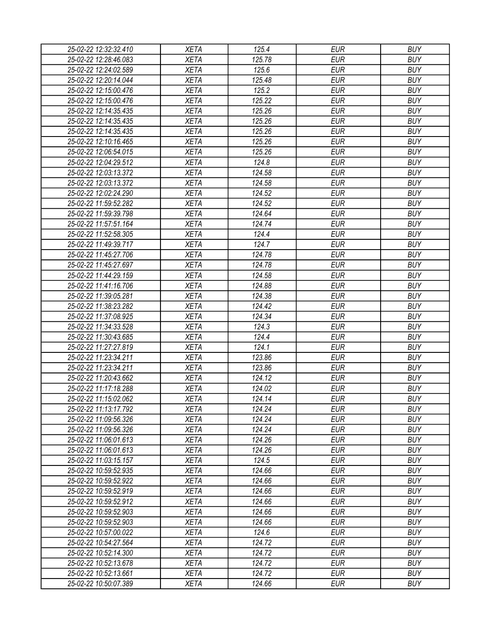| 25-02-22 12:32:32.410 | XETA        | 125.4  | EUR        | <b>BUY</b> |
|-----------------------|-------------|--------|------------|------------|
| 25-02-22 12:28:46.083 | <b>XETA</b> | 125.78 | <b>EUR</b> | <b>BUY</b> |
| 25-02-22 12:24:02.589 | <b>XETA</b> | 125.6  | <b>EUR</b> | <b>BUY</b> |
| 25-02-22 12:20:14.044 | <b>XETA</b> | 125.48 | <b>EUR</b> | <b>BUY</b> |
| 25-02-22 12:15:00.476 | <b>XETA</b> | 125.2  | <b>EUR</b> | <b>BUY</b> |
| 25-02-22 12:15:00.476 | <b>XETA</b> | 125.22 | <b>EUR</b> | <b>BUY</b> |
| 25-02-22 12:14:35.435 | <b>XETA</b> | 125.26 | <b>EUR</b> | <b>BUY</b> |
| 25-02-22 12:14:35.435 | <b>XETA</b> | 125.26 | <b>EUR</b> | <b>BUY</b> |
| 25-02-22 12:14:35.435 | <b>XETA</b> | 125.26 | <b>EUR</b> | <b>BUY</b> |
| 25-02-22 12:10:16.465 | <b>XETA</b> | 125.26 | <b>EUR</b> | <b>BUY</b> |
| 25-02-22 12:06:54.015 | <b>XETA</b> | 125.26 | <b>EUR</b> | <b>BUY</b> |
| 25-02-22 12:04:29.512 | <b>XETA</b> | 124.8  | <b>EUR</b> | <b>BUY</b> |
| 25-02-22 12:03:13.372 | <b>XETA</b> | 124.58 | <b>EUR</b> | <b>BUY</b> |
| 25-02-22 12:03:13.372 | <b>XETA</b> | 124.58 | <b>EUR</b> | <b>BUY</b> |
| 25-02-22 12:02:24.290 | <b>XETA</b> | 124.52 | <b>EUR</b> | <b>BUY</b> |
| 25-02-22 11:59:52.282 | <b>XETA</b> | 124.52 | <b>EUR</b> | <b>BUY</b> |
| 25-02-22 11:59:39.798 | <b>XETA</b> | 124.64 | <b>EUR</b> | <b>BUY</b> |
| 25-02-22 11:57:51.164 | <b>XETA</b> | 124.74 | <b>EUR</b> | <b>BUY</b> |
| 25-02-22 11:52:58.305 | <b>XETA</b> | 124.4  | <b>EUR</b> | <b>BUY</b> |
| 25-02-22 11:49:39.717 | <b>XETA</b> | 124.7  | <b>EUR</b> | <b>BUY</b> |
| 25-02-22 11:45:27.706 | <b>XETA</b> | 124.78 | <b>EUR</b> | <b>BUY</b> |
| 25-02-22 11:45:27.697 | <b>XETA</b> | 124.78 | <b>EUR</b> | <b>BUY</b> |
| 25-02-22 11:44:29.159 | <b>XETA</b> | 124.58 | <b>EUR</b> | <b>BUY</b> |
| 25-02-22 11:41:16.706 | <b>XETA</b> | 124.88 | <b>EUR</b> | <b>BUY</b> |
| 25-02-22 11:39:05.281 | <b>XETA</b> | 124.38 | <b>EUR</b> | <b>BUY</b> |
| 25-02-22 11:38:23.282 | <b>XETA</b> | 124.42 | EUR        | <b>BUY</b> |
| 25-02-22 11:37:08.925 | <b>XETA</b> | 124.34 | <b>EUR</b> | <b>BUY</b> |
| 25-02-22 11:34:33.528 | <b>XETA</b> | 124.3  | <b>EUR</b> | <b>BUY</b> |
| 25-02-22 11:30:43.685 | <b>XETA</b> | 124.4  | <b>EUR</b> | <b>BUY</b> |
| 25-02-22 11:27:27.819 | <b>XETA</b> | 124.1  | <b>EUR</b> | <b>BUY</b> |
| 25-02-22 11:23:34.211 | <b>XETA</b> | 123.86 | <b>EUR</b> | <b>BUY</b> |
| 25-02-22 11:23:34.211 | <b>XETA</b> | 123.86 | <b>EUR</b> | <b>BUY</b> |
| 25-02-22 11:20:43.662 | <b>XETA</b> | 124.12 | <b>EUR</b> | <b>BUY</b> |
| 25-02-22 11:17:18.288 | <b>XETA</b> | 124.02 | <b>EUR</b> | <b>BUY</b> |
| 25-02-22 11:15:02.062 | <b>XETA</b> | 124.14 | <b>EUR</b> | <b>BUY</b> |
| 25-02-22 11:13:17.792 | <b>XETA</b> | 124.24 | <b>EUR</b> | <b>BUY</b> |
| 25-02-22 11:09:56.326 | <b>XETA</b> | 124.24 | <b>EUR</b> | <b>BUY</b> |
| 25-02-22 11:09:56.326 | <b>XETA</b> | 124.24 | <b>EUR</b> | <b>BUY</b> |
| 25-02-22 11:06:01.613 | <b>XETA</b> | 124.26 | <b>EUR</b> | <b>BUY</b> |
| 25-02-22 11:06:01.613 | <b>XETA</b> | 124.26 | <b>EUR</b> | <b>BUY</b> |
| 25-02-22 11:03:15.157 | <b>XETA</b> | 124.5  | <b>EUR</b> | <b>BUY</b> |
| 25-02-22 10:59:52.935 | <b>XETA</b> | 124.66 | <b>EUR</b> | <b>BUY</b> |
| 25-02-22 10:59:52.922 | <b>XETA</b> | 124.66 | <b>EUR</b> | <b>BUY</b> |
| 25-02-22 10:59:52.919 | <b>XETA</b> | 124.66 | <b>EUR</b> | <b>BUY</b> |
| 25-02-22 10:59:52.912 | <b>XETA</b> | 124.66 | <b>EUR</b> | <b>BUY</b> |
| 25-02-22 10:59:52.903 | <b>XETA</b> | 124.66 | <b>EUR</b> | <b>BUY</b> |
| 25-02-22 10:59:52.903 | <b>XETA</b> | 124.66 | <b>EUR</b> | <b>BUY</b> |
| 25-02-22 10:57:00.022 | <b>XETA</b> | 124.6  | <b>EUR</b> | <b>BUY</b> |
| 25-02-22 10:54:27.564 | <b>XETA</b> | 124.72 | <b>EUR</b> | <b>BUY</b> |
| 25-02-22 10:52:14.300 | <b>XETA</b> | 124.72 | <b>EUR</b> | <b>BUY</b> |
| 25-02-22 10:52:13.678 | <b>XETA</b> | 124.72 | EUR        | <b>BUY</b> |
| 25-02-22 10:52:13.661 | <b>XETA</b> | 124.72 | <b>EUR</b> | <b>BUY</b> |
| 25-02-22 10:50:07.389 | XETA        | 124.66 | <b>EUR</b> | <b>BUY</b> |
|                       |             |        |            |            |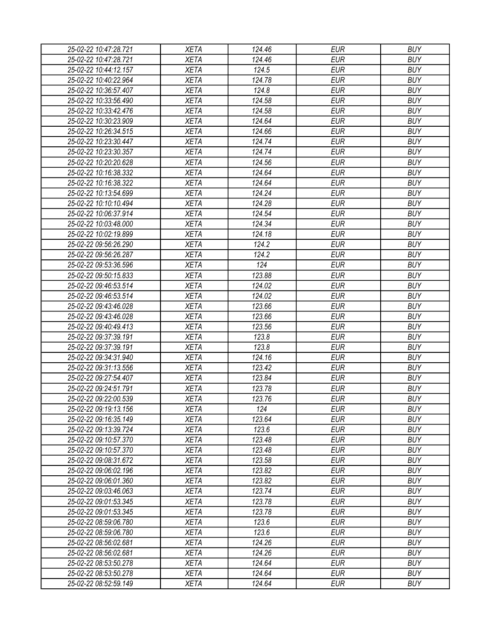| 25-02-22 10:47:28.721 | <b>XETA</b> | 124.46 | <b>EUR</b> | <b>BUY</b> |
|-----------------------|-------------|--------|------------|------------|
| 25-02-22 10:47:28.721 | <b>XETA</b> | 124.46 | <b>EUR</b> | <b>BUY</b> |
| 25-02-22 10:44:12.157 | <b>XETA</b> | 124.5  | <b>EUR</b> | <b>BUY</b> |
| 25-02-22 10:40:22.964 | <b>XETA</b> | 124.78 | <b>EUR</b> | <b>BUY</b> |
| 25-02-22 10:36:57.407 | <b>XETA</b> | 124.8  | <b>EUR</b> | <b>BUY</b> |
| 25-02-22 10:33:56.490 | <b>XETA</b> | 124.58 | <b>EUR</b> | <b>BUY</b> |
| 25-02-22 10:33:42.476 | <b>XETA</b> | 124.58 | <b>EUR</b> | <b>BUY</b> |
| 25-02-22 10:30:23.909 | <b>XETA</b> | 124.64 | <b>EUR</b> | <b>BUY</b> |
| 25-02-22 10:26:34.515 | <b>XETA</b> | 124.66 | <b>EUR</b> | <b>BUY</b> |
| 25-02-22 10:23:30.447 | <b>XETA</b> | 124.74 | <b>EUR</b> | <b>BUY</b> |
| 25-02-22 10:23:30.357 | <b>XETA</b> | 124.74 | <b>EUR</b> | <b>BUY</b> |
| 25-02-22 10:20:20.628 | <b>XETA</b> | 124.56 | <b>EUR</b> | <b>BUY</b> |
| 25-02-22 10:16:38.332 | <b>XETA</b> | 124.64 | <b>EUR</b> | <b>BUY</b> |
| 25-02-22 10:16:38.322 | <b>XETA</b> | 124.64 | <b>EUR</b> | <b>BUY</b> |
| 25-02-22 10:13:54.699 | <b>XETA</b> | 124.24 | <b>EUR</b> | <b>BUY</b> |
| 25-02-22 10:10:10.494 | <b>XETA</b> | 124.28 | <b>EUR</b> | <b>BUY</b> |
| 25-02-22 10:06:37.914 | <b>XETA</b> | 124.54 | <b>EUR</b> | <b>BUY</b> |
| 25-02-22 10:03:48.000 | <b>XETA</b> | 124.34 | <b>EUR</b> | <b>BUY</b> |
| 25-02-22 10:02:19.899 | <b>XETA</b> | 124.18 | <b>EUR</b> | <b>BUY</b> |
| 25-02-22 09:56:26.290 | <b>XETA</b> | 124.2  | <b>EUR</b> | <b>BUY</b> |
| 25-02-22 09:56:26.287 | <b>XETA</b> | 124.2  | <b>EUR</b> | <b>BUY</b> |
| 25-02-22 09:53:36.596 | <b>XETA</b> | 124    | <b>EUR</b> | <b>BUY</b> |
| 25-02-22 09:50:15.833 | <b>XETA</b> | 123.88 | <b>EUR</b> | <b>BUY</b> |
| 25-02-22 09:46:53.514 | <b>XETA</b> | 124.02 | <b>EUR</b> | <b>BUY</b> |
| 25-02-22 09:46:53.514 | <b>XETA</b> | 124.02 | <b>EUR</b> | <b>BUY</b> |
| 25-02-22 09:43:46.028 | <b>XETA</b> | 123.66 | <b>EUR</b> | <b>BUY</b> |
| 25-02-22 09:43:46.028 | <b>XETA</b> | 123.66 | <b>EUR</b> | <b>BUY</b> |
| 25-02-22 09:40:49.413 | <b>XETA</b> | 123.56 | <b>EUR</b> | <b>BUY</b> |
| 25-02-22 09:37:39.191 | <b>XETA</b> | 123.8  | <b>EUR</b> | <b>BUY</b> |
| 25-02-22 09:37:39.191 | <b>XETA</b> | 123.8  | <b>EUR</b> | <b>BUY</b> |
| 25-02-22 09:34:31.940 | <b>XETA</b> | 124.16 | <b>EUR</b> | <b>BUY</b> |
| 25-02-22 09:31:13.556 | <b>XETA</b> | 123.42 | <b>EUR</b> | <b>BUY</b> |
| 25-02-22 09:27:54.407 | <b>XETA</b> | 123.84 | <b>EUR</b> | <b>BUY</b> |
| 25-02-22 09:24:51.791 | <b>XETA</b> | 123.78 | <b>EUR</b> | <b>BUY</b> |
| 25-02-22 09:22:00.539 | <b>XETA</b> | 123.76 | <b>EUR</b> | <b>BUY</b> |
| 25-02-22 09:19:13.156 | <b>XETA</b> | 124    | <b>EUR</b> | <b>BUY</b> |
| 25-02-22 09:16:35.149 | <b>XETA</b> | 123.64 | <b>EUR</b> | <b>BUY</b> |
| 25-02-22 09:13:39.724 | <b>XETA</b> | 123.6  | <b>EUR</b> | <b>BUY</b> |
| 25-02-22 09:10:57.370 | <b>XETA</b> | 123.48 | <b>EUR</b> | <b>BUY</b> |
| 25-02-22 09:10:57.370 | <b>XETA</b> | 123.48 | <b>EUR</b> | <b>BUY</b> |
| 25-02-22 09:08:31.672 | <b>XETA</b> | 123.58 | <b>EUR</b> | <b>BUY</b> |
| 25-02-22 09:06:02.196 | <b>XETA</b> | 123.82 | <b>EUR</b> | <b>BUY</b> |
| 25-02-22 09:06:01.360 | <b>XETA</b> | 123.82 | <b>EUR</b> | <b>BUY</b> |
| 25-02-22 09:03:46.063 | <b>XETA</b> | 123.74 | <b>EUR</b> | <b>BUY</b> |
| 25-02-22 09:01:53.345 | <b>XETA</b> | 123.78 | <b>EUR</b> | <b>BUY</b> |
| 25-02-22 09:01:53.345 | <b>XETA</b> | 123.78 | <b>EUR</b> | <b>BUY</b> |
| 25-02-22 08:59:06.780 | <b>XETA</b> | 123.6  | <b>EUR</b> | <b>BUY</b> |
| 25-02-22 08:59:06.780 | <b>XETA</b> | 123.6  | <b>EUR</b> | <b>BUY</b> |
| 25-02-22 08:56:02.681 | <b>XETA</b> | 124.26 | <b>EUR</b> | <b>BUY</b> |
| 25-02-22 08:56:02.681 | <b>XETA</b> | 124.26 | <b>EUR</b> | <b>BUY</b> |
| 25-02-22 08:53:50.278 | <b>XETA</b> | 124.64 | <b>EUR</b> | <b>BUY</b> |
| 25-02-22 08:53:50.278 | <b>XETA</b> | 124.64 | <b>EUR</b> | <b>BUY</b> |
| 25-02-22 08:52:59.149 | <b>XETA</b> | 124.64 | <b>EUR</b> | <b>BUY</b> |
|                       |             |        |            |            |